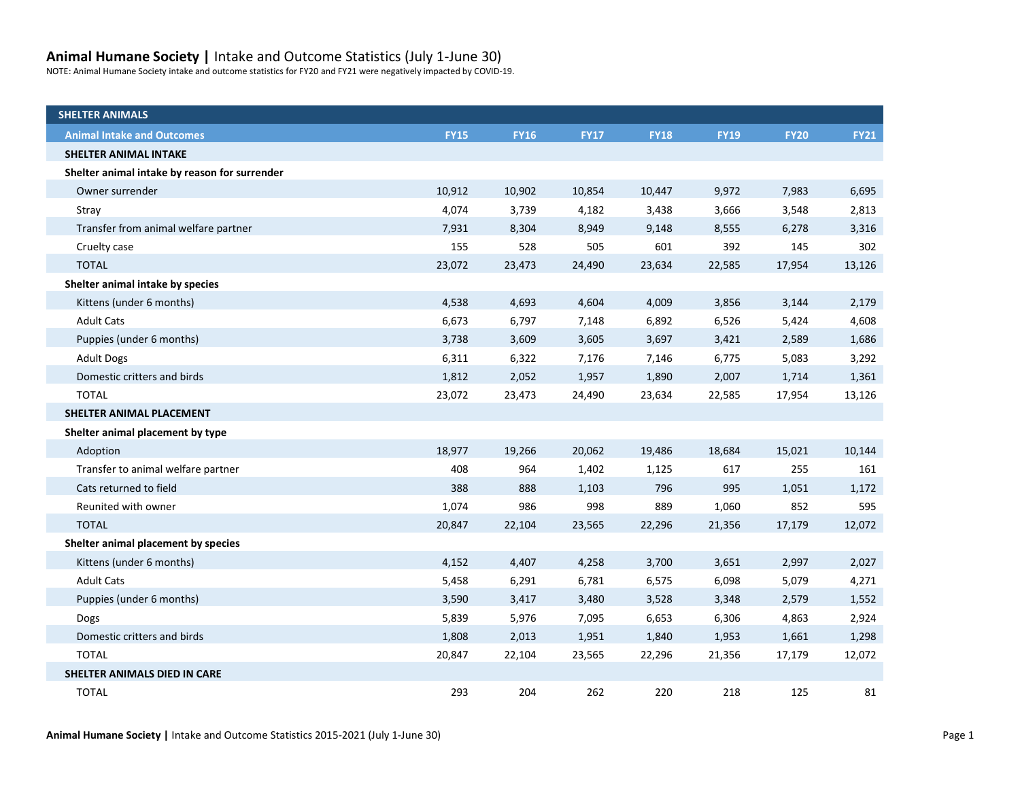## **Animal Humane Society |** Intake and Outcome Statistics (July 1-June 30)

NOTE: Animal Humane Society intake and outcome statistics for FY20 and FY21 were negatively impacted by COVID-19.

| <b>SHELTER ANIMALS</b>                        |             |             |             |             |             |             |             |
|-----------------------------------------------|-------------|-------------|-------------|-------------|-------------|-------------|-------------|
| <b>Animal Intake and Outcomes</b>             | <b>FY15</b> | <b>FY16</b> | <b>FY17</b> | <b>FY18</b> | <b>FY19</b> | <b>FY20</b> | <b>FY21</b> |
| <b>SHELTER ANIMAL INTAKE</b>                  |             |             |             |             |             |             |             |
| Shelter animal intake by reason for surrender |             |             |             |             |             |             |             |
| Owner surrender                               | 10,912      | 10,902      | 10,854      | 10,447      | 9,972       | 7,983       | 6,695       |
| Stray                                         | 4,074       | 3,739       | 4,182       | 3,438       | 3,666       | 3,548       | 2,813       |
| Transfer from animal welfare partner          | 7,931       | 8,304       | 8,949       | 9,148       | 8,555       | 6,278       | 3,316       |
| Cruelty case                                  | 155         | 528         | 505         | 601         | 392         | 145         | 302         |
| <b>TOTAL</b>                                  | 23,072      | 23,473      | 24,490      | 23,634      | 22,585      | 17,954      | 13,126      |
| Shelter animal intake by species              |             |             |             |             |             |             |             |
| Kittens (under 6 months)                      | 4,538       | 4,693       | 4,604       | 4,009       | 3,856       | 3,144       | 2,179       |
| <b>Adult Cats</b>                             | 6,673       | 6,797       | 7,148       | 6,892       | 6,526       | 5,424       | 4,608       |
| Puppies (under 6 months)                      | 3,738       | 3,609       | 3,605       | 3,697       | 3,421       | 2,589       | 1,686       |
| <b>Adult Dogs</b>                             | 6,311       | 6,322       | 7,176       | 7,146       | 6,775       | 5,083       | 3,292       |
| Domestic critters and birds                   | 1,812       | 2,052       | 1,957       | 1,890       | 2,007       | 1,714       | 1,361       |
| <b>TOTAL</b>                                  | 23,072      | 23,473      | 24,490      | 23,634      | 22,585      | 17,954      | 13,126      |
| SHELTER ANIMAL PLACEMENT                      |             |             |             |             |             |             |             |
| Shelter animal placement by type              |             |             |             |             |             |             |             |
| Adoption                                      | 18,977      | 19,266      | 20,062      | 19,486      | 18,684      | 15,021      | 10,144      |
| Transfer to animal welfare partner            | 408         | 964         | 1,402       | 1,125       | 617         | 255         | 161         |
| Cats returned to field                        | 388         | 888         | 1,103       | 796         | 995         | 1,051       | 1,172       |
| Reunited with owner                           | 1,074       | 986         | 998         | 889         | 1,060       | 852         | 595         |
| <b>TOTAL</b>                                  | 20,847      | 22,104      | 23,565      | 22,296      | 21,356      | 17,179      | 12,072      |
| Shelter animal placement by species           |             |             |             |             |             |             |             |
| Kittens (under 6 months)                      | 4,152       | 4,407       | 4,258       | 3,700       | 3,651       | 2,997       | 2,027       |
| <b>Adult Cats</b>                             | 5,458       | 6,291       | 6,781       | 6,575       | 6,098       | 5,079       | 4,271       |
| Puppies (under 6 months)                      | 3,590       | 3,417       | 3,480       | 3,528       | 3,348       | 2,579       | 1,552       |
| <b>Dogs</b>                                   | 5,839       | 5,976       | 7,095       | 6,653       | 6,306       | 4,863       | 2,924       |
| Domestic critters and birds                   | 1,808       | 2,013       | 1,951       | 1,840       | 1,953       | 1,661       | 1,298       |
| <b>TOTAL</b>                                  | 20,847      | 22,104      | 23,565      | 22,296      | 21,356      | 17,179      | 12,072      |
| SHELTER ANIMALS DIED IN CARE                  |             |             |             |             |             |             |             |
| <b>TOTAL</b>                                  | 293         | 204         | 262         | 220         | 218         | 125         | 81          |